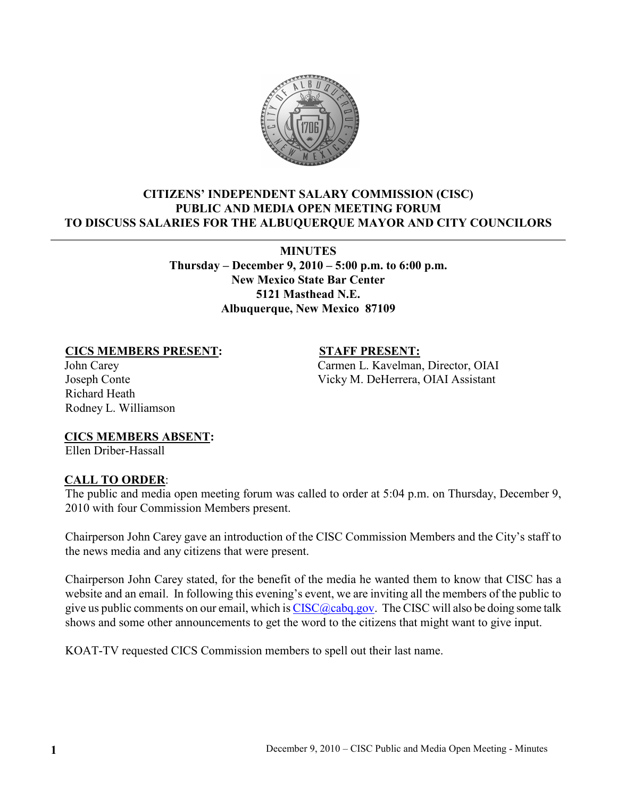

## CITIZENS' INDEPENDENT SALARY COMMISSION (CISC) PUBLIC AND MEDIA OPEN MEETING FORUM TO DISCUSS SALARIES FOR THE ALBUQUERQUE MAYOR AND CITY COUNCILORS

MINUTES Thursday – December 9, 2010 – 5:00 p.m. to 6:00 p.m. New Mexico State Bar Center 5121 Masthead N.E. Albuquerque, New Mexico 87109

## CICS MEMBERS PRESENT: STAFF PRESENT:

John Carey Carmen L. Kavelman, Director, OIAI Joseph Conte Vicky M. DeHerrera, OIAI Assistant

Richard Heath Rodney L. Williamson

CICS MEMBERS ABSENT:

Ellen Driber-Hassall

## CALL TO ORDER:

The public and media open meeting forum was called to order at 5:04 p.m. on Thursday, December 9, 2010 with four Commission Members present.

Chairperson John Carey gave an introduction of the CISC Commission Members and the City's staff to the news media and any citizens that were present.

Chairperson John Carey stated, for the benefit of the media he wanted them to know that CISC has a website and an email. In following this evening's event, we are inviting all the members of the public to give us public comments on our email, which is  $CISC@caba.gov$ . The CISC will also be doing some talk shows and some other announcements to get the word to the citizens that might want to give input.

KOAT-TV requested CICS Commission members to spell out their last name.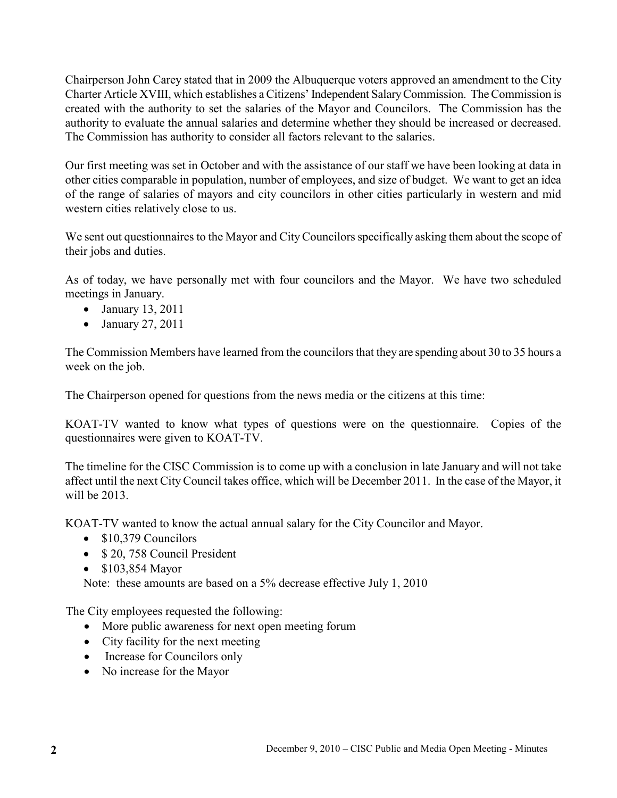Chairperson John Carey stated that in 2009 the Albuquerque voters approved an amendment to the City Charter Article XVIII, which establishes a Citizens' Independent Salary Commission. The Commission is created with the authority to set the salaries of the Mayor and Councilors. The Commission has the authority to evaluate the annual salaries and determine whether they should be increased or decreased. The Commission has authority to consider all factors relevant to the salaries.

Our first meeting was set in October and with the assistance of our staff we have been looking at data in other cities comparable in population, number of employees, and size of budget. We want to get an idea of the range of salaries of mayors and city councilors in other cities particularly in western and mid western cities relatively close to us.

We sent out questionnaires to the Mayor and City Councilors specifically asking them about the scope of their jobs and duties.

As of today, we have personally met with four councilors and the Mayor. We have two scheduled meetings in January.

- January 13, 2011
- January 27, 2011

The Commission Members have learned from the councilors that they are spending about 30 to 35 hours a week on the job.

The Chairperson opened for questions from the news media or the citizens at this time:

KOAT-TV wanted to know what types of questions were on the questionnaire. Copies of the questionnaires were given to KOAT-TV.

The timeline for the CISC Commission is to come up with a conclusion in late January and will not take affect until the next City Council takes office, which will be December 2011. In the case of the Mayor, it will be 2013.

KOAT-TV wanted to know the actual annual salary for the City Councilor and Mayor.

- \$10,379 Councilors
- \$ 20, 758 Council President
- \$103,854 Mayor

Note: these amounts are based on a 5% decrease effective July 1, 2010

The City employees requested the following:

- More public awareness for next open meeting forum
- City facility for the next meeting
- Increase for Councilors only
- No increase for the Mayor